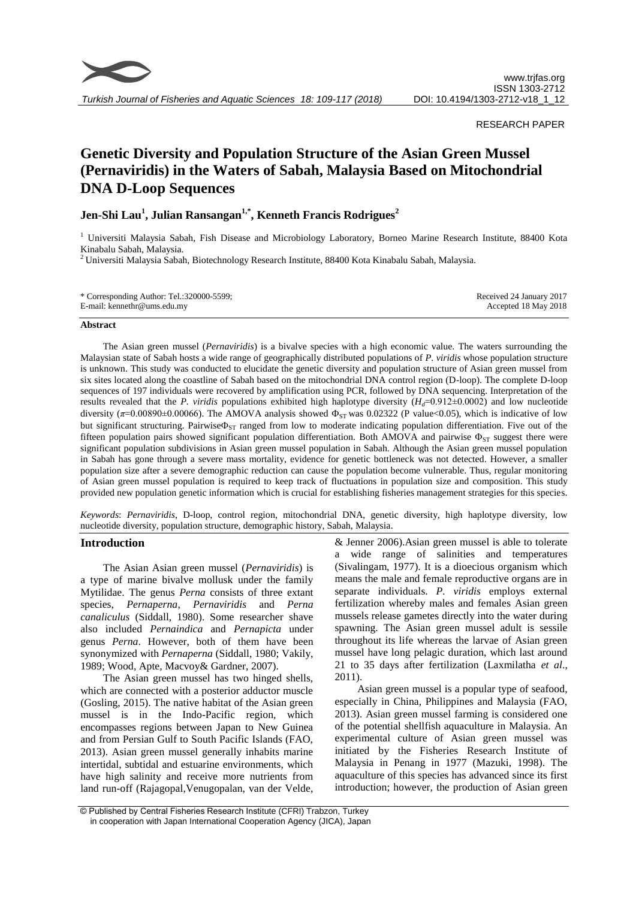

#### RESEARCH PAPER

# **Genetic Diversity and Population Structure of the Asian Green Mussel (Pernaviridis) in the Waters of Sabah, Malaysia Based on Mitochondrial DNA D-Loop Sequences**

## **Jen-Shi Lau<sup>1</sup> , Julian Ransangan1,\*, Kenneth Francis Rodrigues<sup>2</sup>**

<sup>1</sup> Universiti Malaysia Sabah, Fish Disease and Microbiology Laboratory, Borneo Marine Research Institute, 88400 Kota Kinabalu Sabah, Malaysia.

<sup>2</sup> Universiti Malaysia Sabah, Biotechnology Research Institute, 88400 Kota Kinabalu Sabah, Malaysia.

| * Corresponding Author: Tel.:320000-5599; | Received 24 January 2017 |
|-------------------------------------------|--------------------------|
| E-mail: kennethr@ums.edu.my               | Accepted 18 May 2018     |

#### **Abstract**

The Asian green mussel (*Pernaviridis*) is a bivalve species with a high economic value. The waters surrounding the Malaysian state of Sabah hosts a wide range of geographically distributed populations of *P. viridis* whose population structure is unknown. This study was conducted to elucidate the genetic diversity and population structure of Asian green mussel from six sites located along the coastline of Sabah based on the mitochondrial DNA control region (D-loop). The complete D-loop sequences of 197 individuals were recovered by amplification using PCR, followed by DNA sequencing. Interpretation of the results revealed that the *P. viridis* populations exhibited high haplotype diversity  $(H_d=0.912\pm0.0002)$  and low nucleotide diversity ( $\pi$ =0.00890±0.00066). The AMOVA analysis showed  $\Phi_{ST}$  was 0.02322 (P value<0.05), which is indicative of low but significant structuring. Pairwise $\Phi_{ST}$  ranged from low to moderate indicating population differentiation. Five out of the fifteen population pairs showed significant population differentiation. Both AMOVA and pairwise  $\Phi_{ST}$  suggest there were significant population subdivisions in Asian green mussel population in Sabah. Although the Asian green mussel population in Sabah has gone through a severe mass mortality, evidence for genetic bottleneck was not detected. However, a smaller population size after a severe demographic reduction can cause the population become vulnerable. Thus, regular monitoring of Asian green mussel population is required to keep track of fluctuations in population size and composition. This study provided new population genetic information which is crucial for establishing fisheries management strategies for this species.

*Keywords*: *Pernaviridis*, D-loop, control region, mitochondrial DNA, genetic diversity, high haplotype diversity, low nucleotide diversity, population structure, demographic history, Sabah, Malaysia.

#### **Introduction**

The Asian Asian green mussel (*Pernaviridis*) is a type of marine bivalve mollusk under the family Mytilidae. The genus *Perna* consists of three extant species, *Pernaperna*, *Pernaviridis* and *Perna canaliculus* (Siddall, 1980). Some researcher shave also included *Pernaindica* and *Pernapicta* under genus *Perna*. However, both of them have been synonymized with *Pernaperna* (Siddall, 1980; Vakily, 1989; Wood, Apte, Macvoy& Gardner, 2007).

The Asian green mussel has two hinged shells, which are connected with a posterior adductor muscle (Gosling, 2015). The native habitat of the Asian green mussel is in the Indo-Pacific region, which encompasses regions between Japan to New Guinea and from Persian Gulf to South Pacific Islands (FAO, 2013). Asian green mussel generally inhabits marine intertidal, subtidal and estuarine environments, which have high salinity and receive more nutrients from land run-off (Rajagopal,Venugopalan, van der Velde, & Jenner 2006).Asian green mussel is able to tolerate a wide range of salinities and temperatures (Sivalingam, 1977). It is a dioecious organism which means the male and female reproductive organs are in separate individuals. *P. viridis* employs external fertilization whereby males and females Asian green mussels release gametes directly into the water during spawning. The Asian green mussel adult is sessile throughout its life whereas the larvae of Asian green mussel have long pelagic duration, which last around 21 to 35 days after fertilization (Laxmilatha *et al*., 2011).

Asian green mussel is a popular type of seafood, especially in China, Philippines and Malaysia (FAO, 2013). Asian green mussel farming is considered one of the potential shellfish aquaculture in Malaysia. An experimental culture of Asian green mussel was initiated by the Fisheries Research Institute of Malaysia in Penang in 1977 (Mazuki, 1998). The aquaculture of this species has advanced since its first introduction; however, the production of Asian green

<sup>©</sup> Published by Central Fisheries Research Institute (CFRI) Trabzon, Turkey in cooperation with Japan International Cooperation Agency (JICA), Japan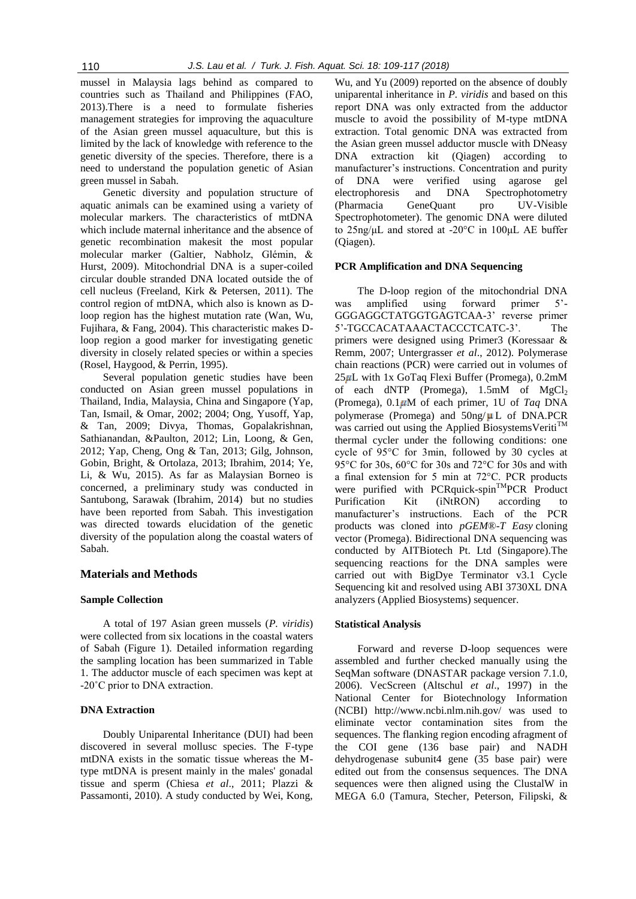mussel in Malaysia lags behind as compared to countries such as Thailand and Philippines (FAO, 2013).There is a need to formulate fisheries management strategies for improving the aquaculture of the Asian green mussel aquaculture, but this is limited by the lack of knowledge with reference to the genetic diversity of the species. Therefore, there is a need to understand the population genetic of Asian green mussel in Sabah.

Genetic diversity and population structure of aquatic animals can be examined using a variety of molecular markers. The characteristics of mtDNA which include maternal inheritance and the absence of genetic recombination makesit the most popular molecular marker (Galtier, Nabholz, Glémin, & Hurst, 2009). Mitochondrial DNA is a super-coiled circular double stranded DNA located outside the of cell nucleus (Freeland, Kirk & Petersen, 2011). The control region of mtDNA, which also is known as Dloop region has the highest mutation rate (Wan, Wu, Fujihara, & Fang, 2004). This characteristic makes Dloop region a good marker for investigating genetic diversity in closely related species or within a species (Rosel, Haygood, & Perrin, 1995).

Several population genetic studies have been conducted on Asian green mussel populations in Thailand, India, Malaysia, China and Singapore (Yap, Tan, Ismail, & Omar, 2002; 2004; Ong, Yusoff, Yap, & Tan, 2009; Divya, Thomas, Gopalakrishnan, Sathianandan, &Paulton, 2012; Lin, Loong, & Gen, 2012; Yap, Cheng, Ong & Tan, 2013; Gilg, Johnson, Gobin, Bright, & Ortolaza, 2013; Ibrahim, 2014; Ye, Li, & Wu, 2015). As far as Malaysian Borneo is concerned, a preliminary study was conducted in Santubong, Sarawak (Ibrahim, 2014) but no studies have been reported from Sabah. This investigation was directed towards elucidation of the genetic diversity of the population along the coastal waters of Sabah.

## **Materials and Methods**

#### **Sample Collection**

A total of 197 Asian green mussels (*P. viridis*) were collected from six locations in the coastal waters of Sabah (Figure 1). Detailed information regarding the sampling location has been summarized in Table 1. The adductor muscle of each specimen was kept at -20˚C prior to DNA extraction.

## **DNA Extraction**

Doubly Uniparental Inheritance (DUI) had been discovered in several mollusc species. The F-type mtDNA exists in the somatic tissue whereas the Mtype mtDNA is present mainly in the males' gonadal tissue and sperm (Chiesa *et al*., 2011; Plazzi & Passamonti, 2010). A study conducted by Wei, Kong,

Wu, and Yu (2009) reported on the absence of doubly uniparental inheritance in *P. viridis* and based on this report DNA was only extracted from the adductor muscle to avoid the possibility of M-type mtDNA extraction. Total genomic DNA was extracted from the Asian green mussel adductor muscle with DNeasy DNA extraction kit (Qiagen) according to manufacturer's instructions. Concentration and purity of DNA were verified using agarose gel electrophoresis and DNA Spectrophotometry (Pharmacia GeneQuant pro UV-Visible Spectrophotometer). The genomic DNA were diluted to 25ng/μL and stored at -20°C in 100μL AE buffer (Qiagen).

#### **PCR Amplification and DNA Sequencing**

The D-loop region of the mitochondrial DNA was amplified using forward primer 5'- GGGAGGCTATGGTGAGTCAA-3' reverse primer 5'-TGCCACATAAACTACCCTCATC-3'. The primers were designed using Primer3 (Koressaar & Remm, 2007; Untergrasser *et al*., 2012). Polymerase chain reactions (PCR) were carried out in volumes of  $25 \mu L$  with 1x GoTaq Flexi Buffer (Promega), 0.2mM of each dNTP (Promega), 1.5mM of MgCl<sub>2</sub> (Promega), 0.1 M of each primer, 1U of *Taq* DNA polymerase (Promega) and  $50$ ng/ $\mu$ L of DNA.PCR was carried out using the Applied BiosystemsVeriti<sup>TM</sup> thermal cycler under the following conditions: one cycle of 95°C for 3min, followed by 30 cycles at 95°C for 30s, 60°C for 30s and 72°C for 30s and with a final extension for 5 min at 72°C. PCR products were purified with PCRquick-spin<sup>TM</sup>PCR Product Purification Kit (iNtRON) according to manufacturer's instructions. Each of the PCR products was cloned into *pGEM*®-*T Easy* cloning vector (Promega). Bidirectional DNA sequencing was conducted by AITBiotech Pt. Ltd (Singapore).The sequencing reactions for the DNA samples were carried out with BigDye Terminator v3.1 Cycle Sequencing kit and resolved using ABI 3730XL DNA analyzers (Applied Biosystems) sequencer.

## **Statistical Analysis**

Forward and reverse D-loop sequences were assembled and further checked manually using the SeqMan software (DNASTAR package version 7.1.0, 2006). VecScreen (Altschul *et al*., 1997) in the National Center for Biotechnology Information (NCBI) http://www.ncbi.nlm.nih.gov/ was used to eliminate vector contamination sites from the sequences. The flanking region encoding afragment of the COI gene (136 base pair) and NADH dehydrogenase subunit4 gene (35 base pair) were edited out from the consensus sequences. The DNA sequences were then aligned using the ClustalW in MEGA 6.0 (Tamura, Stecher, Peterson, Filipski, &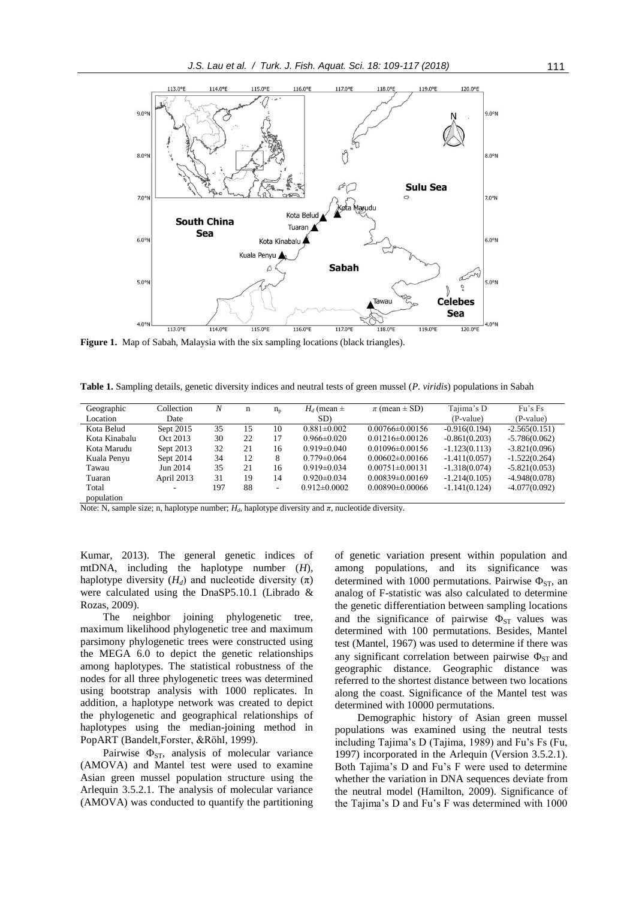

**Figure 1.** Map of Sabah, Malaysia with the six sampling locations (black triangles).

**Table 1.** Sampling details, genetic diversity indices and neutral tests of green mussel (*P. viridis*) populations in Sabah

| Geographic    | Collection | N   | n  | $n_{p}$ | $H_d$ (mean $\pm$ | $\pi$ (mean $\pm$ SD) | Tajima's D      | Fu's Fs         |
|---------------|------------|-----|----|---------|-------------------|-----------------------|-----------------|-----------------|
| Location      | Date       |     |    |         | SD)               |                       | (P-value)       | (P-value)       |
| Kota Belud    | Sept 2015  | 35  | 15 | 10      | $0.881 \pm 0.002$ | $0.00766 \pm 0.00156$ | $-0.916(0.194)$ | $-2.565(0.151)$ |
| Kota Kinabalu | Oct 2013   | 30  | 22 | 17      | $0.966 \pm 0.020$ | $0.01216 \pm 0.00126$ | $-0.861(0.203)$ | $-5.786(0.062)$ |
| Kota Marudu   | Sept 2013  | 32  | 21 | 16      | $0.919 \pm 0.040$ | $0.01096 \pm 0.00156$ | $-1.123(0.113)$ | $-3.821(0.096)$ |
| Kuala Penyu   | Sept 2014  | 34  | 12 | 8       | $0.779 \pm 0.064$ | $0.00602\pm0.00166$   | $-1.411(0.057)$ | $-1.522(0.264)$ |
| Tawau         | Jun 2014   | 35  | 21 | 16      | $0.919\pm0.034$   | $0.00751 \pm 0.00131$ | $-1.318(0.074)$ | $-5.821(0.053)$ |
| Tuaran        | April 2013 | 31  | 19 | 14      | $0.920 \pm 0.034$ | $0.00839 \pm 0.00169$ | $-1.214(0.105)$ | $-4.948(0.078)$ |
| Total         |            | 197 | 88 | Ξ.      | $0.912\pm0.0002$  | $0.00890\pm0.00066$   | $-1.141(0.124)$ | $-4.077(0.092)$ |
| population    |            |     |    |         |                   |                       |                 |                 |

Note: N, sample size; n, haplotype number; *Hd*, haplotype diversity and *π*, nucleotide diversity.

Kumar, 2013). The general genetic indices of mtDNA, including the haplotype number (*H*), haplotype diversity  $(H_d)$  and nucleotide diversity  $(\pi)$ were calculated using the DnaSP5.10.1 (Librado & Rozas, 2009).

The neighbor joining phylogenetic tree, maximum likelihood phylogenetic tree and maximum parsimony phylogenetic trees were constructed using the MEGA 6.0 to depict the genetic relationships among haplotypes. The statistical robustness of the nodes for all three phylogenetic trees was determined using bootstrap analysis with 1000 replicates. In addition, a haplotype network was created to depict the phylogenetic and geographical relationships of haplotypes using the median-joining method in PopART (Bandelt,Forster, &Röhl, 1999).

Pairwise  $\Phi_{ST}$ , analysis of molecular variance (AMOVA) and Mantel test were used to examine Asian green mussel population structure using the Arlequin 3.5.2.1. The analysis of molecular variance (AMOVA) was conducted to quantify the partitioning of genetic variation present within population and among populations, and its significance was determined with 1000 permutations. Pairwise  $\Phi_{ST}$ , an analog of F-statistic was also calculated to determine the genetic differentiation between sampling locations and the significance of pairwise  $\Phi_{ST}$  values was determined with 100 permutations. Besides, Mantel test (Mantel, 1967) was used to determine if there was any significant correlation between pairwise  $\Phi_{ST}$  and geographic distance. Geographic distance was referred to the shortest distance between two locations along the coast. Significance of the Mantel test was determined with 10000 permutations.

Demographic history of Asian green mussel populations was examined using the neutral tests including Tajima's D (Tajima, 1989) and Fu's Fs (Fu, 1997) incorporated in the Arlequin (Version 3.5.2.1). Both Tajima's D and Fu's F were used to determine whether the variation in DNA sequences deviate from the neutral model (Hamilton, 2009). Significance of the Tajima's D and Fu's F was determined with 1000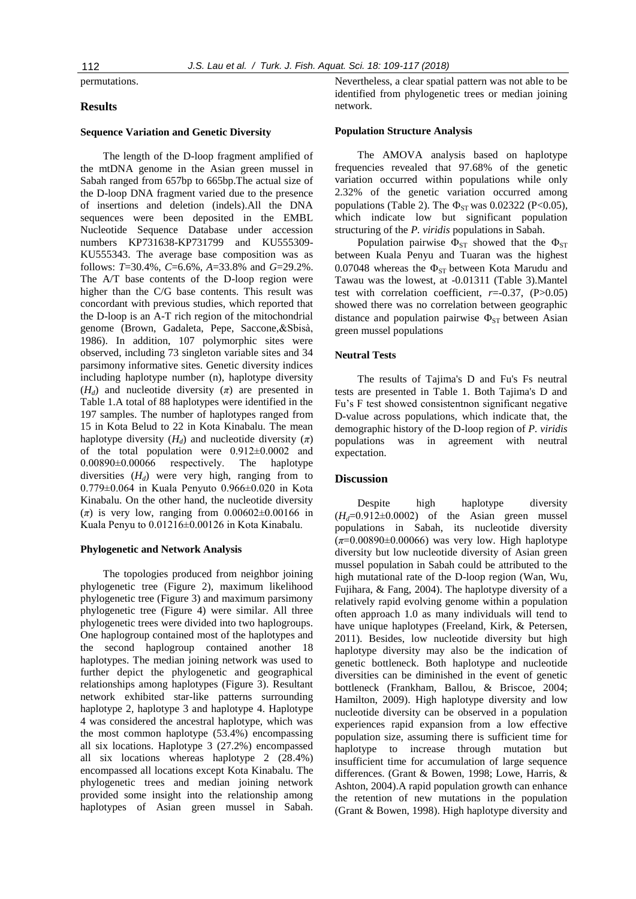permutations.

#### **Results**

#### **Sequence Variation and Genetic Diversity**

The length of the D-loop fragment amplified of the mtDNA genome in the Asian green mussel in Sabah ranged from 657bp to 665bp.The actual size of the D-loop DNA fragment varied due to the presence of insertions and deletion (indels).All the DNA sequences were been deposited in the EMBL Nucleotide Sequence Database under accession numbers KP731638-KP731799 and KU555309- KU555343. The average base composition was as follows: *T*=30.4%, *C*=6.6%, *A*=33.8% and *G*=29.2%. The A/T base contents of the D-loop region were higher than the C/G base contents. This result was concordant with previous studies, which reported that the D-loop is an A-T rich region of the mitochondrial genome (Brown, Gadaleta, Pepe, Saccone,&Sbisà, 1986). In addition, 107 polymorphic sites were observed, including 73 singleton variable sites and 34 parsimony informative sites. Genetic diversity indices including haplotype number (n), haplotype diversity  $(H_d)$  and nucleotide diversity  $(\pi)$  are presented in Table 1.A total of 88 haplotypes were identified in the 197 samples. The number of haplotypes ranged from 15 in Kota Belud to 22 in Kota Kinabalu. The mean haplotype diversity  $(H_d)$  and nucleotide diversity  $(\pi)$ of the total population were 0.912±0.0002 and 0.00890±0.00066 respectively. The haplotype diversities  $(H_d)$  were very high, ranging from to 0.779±0.064 in Kuala Penyuto 0.966±0.020 in Kota Kinabalu. On the other hand, the nucleotide diversity  $(\pi)$  is very low, ranging from  $0.00602\pm0.00166$  in Kuala Penyu to 0.01216±0.00126 in Kota Kinabalu.

#### **Phylogenetic and Network Analysis**

The topologies produced from neighbor joining phylogenetic tree (Figure 2), maximum likelihood phylogenetic tree (Figure 3) and maximum parsimony phylogenetic tree (Figure 4) were similar. All three phylogenetic trees were divided into two haplogroups. One haplogroup contained most of the haplotypes and the second haplogroup contained another 18 haplotypes. The median joining network was used to further depict the phylogenetic and geographical relationships among haplotypes (Figure 3). Resultant network exhibited star-like patterns surrounding haplotype 2, haplotype 3 and haplotype 4. Haplotype 4 was considered the ancestral haplotype, which was the most common haplotype (53.4%) encompassing all six locations. Haplotype 3 (27.2%) encompassed all six locations whereas haplotype 2 (28.4%) encompassed all locations except Kota Kinabalu. The phylogenetic trees and median joining network provided some insight into the relationship among haplotypes of Asian green mussel in Sabah. Nevertheless, a clear spatial pattern was not able to be identified from phylogenetic trees or median joining network.

#### **Population Structure Analysis**

The AMOVA analysis based on haplotype frequencies revealed that 97.68% of the genetic variation occurred within populations while only 2.32% of the genetic variation occurred among populations (Table 2). The  $\Phi_{ST}$  was 0.02322 (P<0.05), which indicate low but significant population structuring of the *P. viridis* populations in Sabah.

Population pairwise  $\Phi_{ST}$  showed that the  $\Phi_{ST}$ between Kuala Penyu and Tuaran was the highest 0.07048 whereas the  $\Phi_{ST}$  between Kota Marudu and Tawau was the lowest, at -0.01311 (Table 3).Mantel test with correlation coefficient,  $r=-0.37$ ,  $(P>0.05)$ showed there was no correlation between geographic distance and population pairwise  $\Phi_{ST}$  between Asian green mussel populations

#### **Neutral Tests**

The results of Tajima's D and Fu's Fs neutral tests are presented in Table 1. Both Tajima's D and Fu's F test showed consistentnon significant negative D-value across populations, which indicate that, the demographic history of the D-loop region of *P. viridis* populations was in agreement with neutral expectation.

#### **Discussion**

Despite high haplotype diversity  $(H<sub>d</sub>=0.912±0.0002)$  of the Asian green mussel populations in Sabah, its nucleotide diversity (*π*=0.00890±0.00066) was very low. High haplotype diversity but low nucleotide diversity of Asian green mussel population in Sabah could be attributed to the high mutational rate of the D-loop region (Wan, Wu, Fujihara, & Fang, 2004). The haplotype diversity of a relatively rapid evolving genome within a population often approach 1.0 as many individuals will tend to have unique haplotypes (Freeland, Kirk, & Petersen, 2011). Besides, low nucleotide diversity but high haplotype diversity may also be the indication of genetic bottleneck. Both haplotype and nucleotide diversities can be diminished in the event of genetic bottleneck (Frankham, Ballou, & Briscoe, 2004; Hamilton, 2009). High haplotype diversity and low nucleotide diversity can be observed in a population experiences rapid expansion from a low effective population size, assuming there is sufficient time for haplotype to increase through mutation but insufficient time for accumulation of large sequence differences. (Grant & Bowen, 1998; Lowe, Harris, & Ashton, 2004).A rapid population growth can enhance the retention of new mutations in the population (Grant & Bowen, 1998). High haplotype diversity and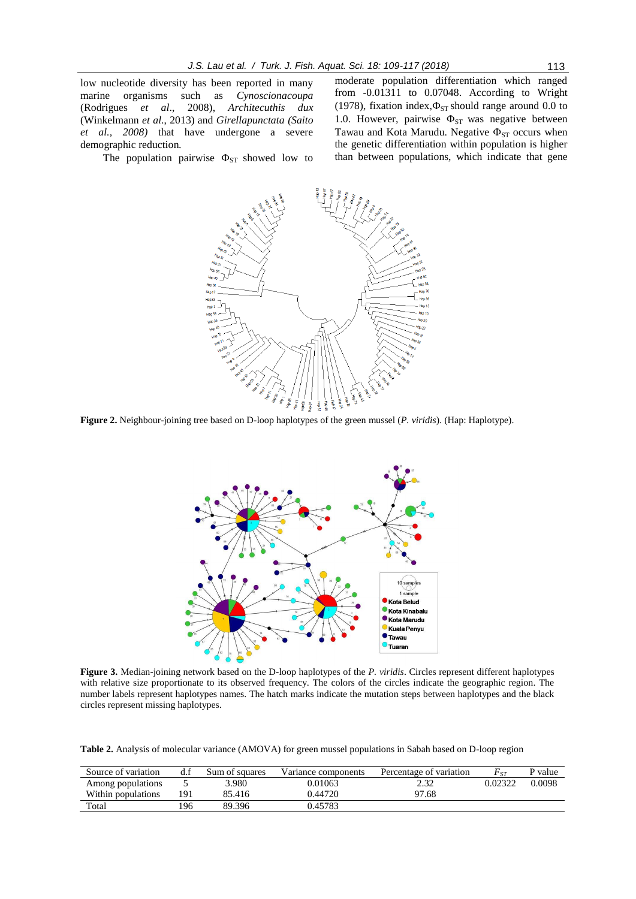low nucleotide diversity has been reported in many marine organisms such as *Cynoscionacoupa* (Rodrigues *et al*., 2008), *Architecuthis dux*  (Winkelmann *et al*., 2013) and *Girellapunctata (Saito et al., 2008)* that have undergone a severe demographic reduction*.*

The population pairwise  $\Phi_{ST}$  showed low to

moderate population differentiation which ranged from -0.01311 to 0.07048. According to Wright (1978), fixation index, $\Phi_{ST}$  should range around 0.0 to 1.0. However, pairwise  $\Phi_{ST}$  was negative between Tawau and Kota Marudu. Negative  $\Phi_{ST}$  occurs when the genetic differentiation within population is higher than between populations, which indicate that gene



**Figure 2.** Neighbour-joining tree based on D-loop haplotypes of the green mussel (*P. viridis*). (Hap: Haplotype).



**Figure 3.** Median-joining network based on the D-loop haplotypes of the *P. viridis*. Circles represent different haplotypes with relative size proportionate to its observed frequency. The colors of the circles indicate the geographic region. The number labels represent haplotypes names. The hatch marks indicate the mutation steps between haplotypes and the black circles represent missing haplotypes.

**Table 2.** Analysis of molecular variance (AMOVA) for green mussel populations in Sabah based on D-loop region

| Source of variation | d.f | Sum of squares | Variance components | Percentage of variation | $F_{\rm \scriptscriptstyle ST}$ | P value |
|---------------------|-----|----------------|---------------------|-------------------------|---------------------------------|---------|
| Among populations   |     | 3.980          | 0.01063             | 2.32                    | 0.02322                         | 0.0098  |
| Within populations  | 191 | 85.416         | 0.44720             | 97.68                   |                                 |         |
| Total               | !96 | 89.396         | 0.45783             |                         |                                 |         |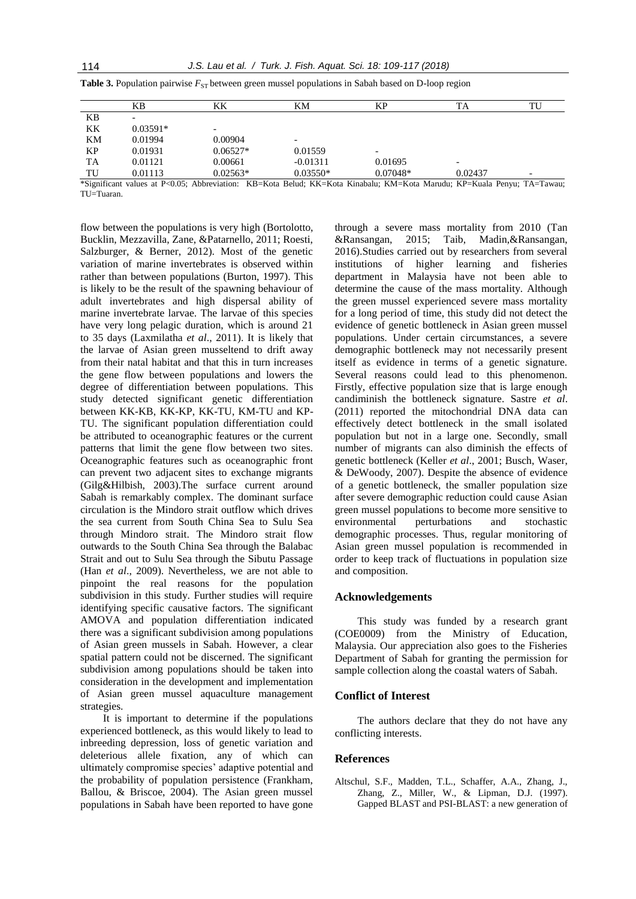|    | ΚB                       | KΚ                                                                                                                      | KМ         | KР         | TA      | TU |  |
|----|--------------------------|-------------------------------------------------------------------------------------------------------------------------|------------|------------|---------|----|--|
| KВ | $\overline{\phantom{0}}$ |                                                                                                                         |            |            |         |    |  |
| KK | $0.03591*$               | $\overline{\phantom{0}}$                                                                                                |            |            |         |    |  |
| KM | 0.01994                  | 0.00904                                                                                                                 |            |            |         |    |  |
| KP | 0.01931                  | $0.06527*$                                                                                                              | 0.01559    |            |         |    |  |
| TA | 0.01121                  | 0.00661                                                                                                                 | $-0.01311$ | 0.01695    | -       |    |  |
| TU | 0.01113                  | $0.02563*$                                                                                                              | $0.03550*$ | $0.07048*$ | 0.02437 | -  |  |
|    |                          | *Significant values at P<0.05: Abbreviation: KB=Kota Belud: KK=Kota Kinabalu: KM=Kota Marudu: KP=Kuala Penvu: TA=Tawau: |            |            |         |    |  |

**Table 3.** Population pairwise  $F_{ST}$  between green mussel populations in Sabah based on D-loop region

\*Significant values at P<0.05; Abbreviation: KB=Kota Belud; KK=Kota Kinabalu; KM=Kota Marudu; KP=Kuala Penyu; TA=Tawau; TU=Tuaran.

flow between the populations is very high (Bortolotto, Bucklin, Mezzavilla, Zane, &Patarnello, 2011; Roesti, Salzburger, & Berner, 2012). Most of the genetic variation of marine invertebrates is observed within rather than between populations (Burton, 1997). This is likely to be the result of the spawning behaviour of adult invertebrates and high dispersal ability of marine invertebrate larvae. The larvae of this species have very long pelagic duration, which is around 21 to 35 days (Laxmilatha *et al*., 2011). It is likely that the larvae of Asian green musseltend to drift away from their natal habitat and that this in turn increases the gene flow between populations and lowers the degree of differentiation between populations. This study detected significant genetic differentiation between KK-KB, KK-KP, KK-TU, KM-TU and KP-TU. The significant population differentiation could be attributed to oceanographic features or the current patterns that limit the gene flow between two sites. Oceanographic features such as oceanographic front can prevent two adjacent sites to exchange migrants (Gilg&Hilbish, 2003).The surface current around Sabah is remarkably complex. The dominant surface circulation is the Mindoro strait outflow which drives the sea current from South China Sea to Sulu Sea through Mindoro strait. The Mindoro strait flow outwards to the South China Sea through the Balabac Strait and out to Sulu Sea through the Sibutu Passage (Han *et al*., 2009). Nevertheless, we are not able to pinpoint the real reasons for the population subdivision in this study. Further studies will require identifying specific causative factors. The significant AMOVA and population differentiation indicated there was a significant subdivision among populations of Asian green mussels in Sabah. However, a clear spatial pattern could not be discerned. The significant subdivision among populations should be taken into consideration in the development and implementation of Asian green mussel aquaculture management strategies.

It is important to determine if the populations experienced bottleneck, as this would likely to lead to inbreeding depression, loss of genetic variation and deleterious allele fixation, any of which can ultimately compromise species' adaptive potential and the probability of population persistence (Frankham, Ballou, & Briscoe, 2004). The Asian green mussel populations in Sabah have been reported to have gone

through a severe mass mortality from 2010 (Tan &Ransangan, 2015; Taib, Madin,&Ransangan, 2016).Studies carried out by researchers from several institutions of higher learning and fisheries department in Malaysia have not been able to determine the cause of the mass mortality. Although the green mussel experienced severe mass mortality for a long period of time, this study did not detect the evidence of genetic bottleneck in Asian green mussel populations. Under certain circumstances, a severe demographic bottleneck may not necessarily present itself as evidence in terms of a genetic signature. Several reasons could lead to this phenomenon. Firstly, effective population size that is large enough candiminish the bottleneck signature. Sastre *et al*. (2011) reported the mitochondrial DNA data can effectively detect bottleneck in the small isolated population but not in a large one. Secondly, small number of migrants can also diminish the effects of genetic bottleneck (Keller *et al*., 2001; Busch, Waser, & DeWoody, 2007). Despite the absence of evidence of a genetic bottleneck, the smaller population size after severe demographic reduction could cause Asian green mussel populations to become more sensitive to environmental perturbations and stochastic demographic processes. Thus, regular monitoring of Asian green mussel population is recommended in order to keep track of fluctuations in population size and composition.

### **Acknowledgements**

This study was funded by a research grant (COE0009) from the Ministry of Education, Malaysia. Our appreciation also goes to the Fisheries Department of Sabah for granting the permission for sample collection along the coastal waters of Sabah.

## **Conflict of Interest**

The authors declare that they do not have any conflicting interests.

#### **References**

Altschul, S.F., Madden, T.L., Schaffer, A.A., Zhang, J., Zhang, Z., Miller, W., & Lipman, D.J. (1997). Gapped BLAST and PSI-BLAST: a new generation of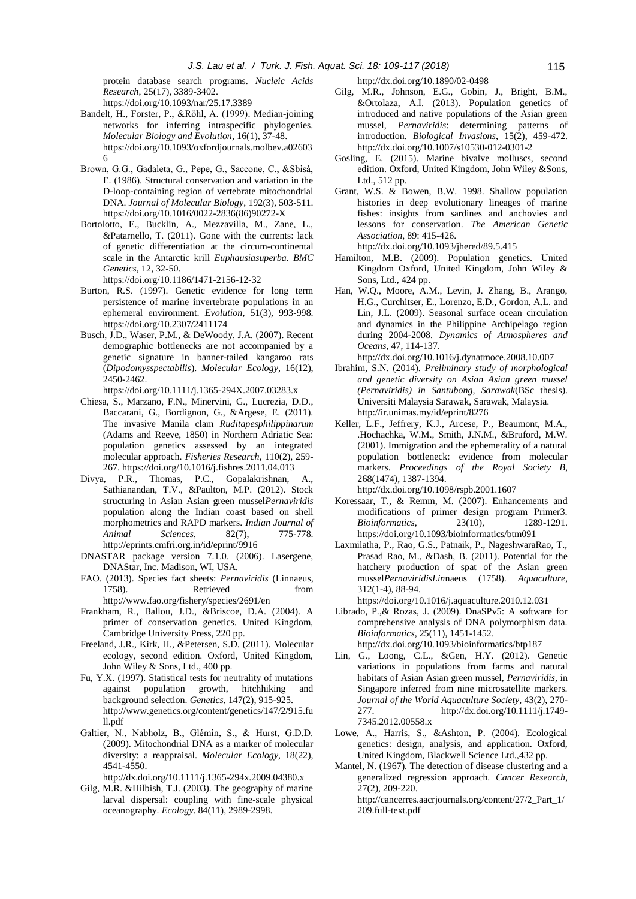protein database search programs. *Nucleic Acids Research*, 25(17), 3389-3402. <https://doi.org/10.1093/nar/25.17.3389>

- Bandelt, H., Forster, P., &Röhl, A. (1999). Median-joining networks for inferring intraspecific phylogenies. *Molecular Biology and Evolution*, 16(1), 37-48. [https://doi.org/10.1093/oxfordjournals.molbev.a02603](https://doi.org/10.1093/oxfordjournals.molbev.a026036) [6](https://doi.org/10.1093/oxfordjournals.molbev.a026036)
- Brown, G.G., Gadaleta, G., Pepe, G., Saccone, C., &Sbisà, E. (1986). Structural conservation and variation in the D-loop-containing region of vertebrate mitochondrial DNA. *Journal of Molecular Biology*, 192(3), 503-511. [https://doi.org/10.1016/0022-2836\(86\)90272-X](https://doi.org/10.1016/0022-2836(86)90272-X)
- Bortolotto, E., Bucklin, A., Mezzavilla, M., Zane, L., &Patarnello, T. (2011). Gone with the currents: lack of genetic differentiation at the circum-continental scale in the Antarctic krill *Euphausiasuperba*. *BMC Genetics*, 12, 32-50.
- <https://doi.org/10.1186/1471-2156-12-32>
- Burton, R.S. (1997). Genetic evidence for long term persistence of marine invertebrate populations in an ephemeral environment. *Evolution*, 51(3), 993-998. <https://doi.org/10.2307/2411174>
- Busch, J.D., Waser, P.M., & DeWoody, J.A. (2007). Recent demographic bottlenecks are not accompanied by a genetic signature in banner-tailed kangaroo rats (*Dipodomysspectabilis*). *Molecular Ecology*, 16(12), 2450-2462.
- <https://doi.org/10.1111/j.1365-294X.2007.03283.x> Chiesa, S., Marzano, F.N., Minervini, G., Lucrezia, D.D., Baccarani, G., Bordignon, G., &Argese, E. (2011). The invasive Manila clam *Ruditapesphilippinarum* (Adams and Reeve, 1850) in Northern Adriatic Sea: population genetics assessed by an integrated molecular approach. *Fisheries Research*, 110(2), 259-
- 267[. https://doi.org/10.1016/j.fishres.2011.04.013](https://doi.org/10.1016/j.fishres.2011.04.013) Divya, P.R., Thomas, P.C., Gopalakrishnan, A., Sathianandan, T.V., &Paulton, M.P. (2012). Stock structuring in Asian Asian green mussel*Pernaviridis* population along the Indian coast based on shell morphometrics and RAPD markers. *Indian Journal of Animal Sciences*, 82(7), 775-778. <http://eprints.cmfri.org.in/id/eprint/9916>
- DNASTAR package version 7.1.0. (2006). Lasergene, DNAStar, Inc. Madison, WI, USA.
- FAO. (2013). Species fact sheets: *Pernaviridis* (Linnaeus, 1758). Retrieved from <http://www.fao.org/fishery/species/2691/en>
- Frankham, R., Ballou, J.D., &Briscoe, D.A. (2004). A primer of conservation genetics. United Kingdom, Cambridge University Press, 220 pp.
- Freeland, J.R., Kirk, H., &Petersen, S.D. (2011). Molecular ecology, second edition. Oxford, United Kingdom, John Wiley & Sons, Ltd., 400 pp.
- Fu, Y.X. (1997). Statistical tests for neutrality of mutations against population growth, hitchhiking and background selection. *Genetics*, 147(2), 915-925. [http://www.genetics.org/content/genetics/147/2/915.fu](http://www.genetics.org/content/genetics/147/2/915.full.pdf) [ll.pdf](http://www.genetics.org/content/genetics/147/2/915.full.pdf)
- Galtier, N., Nabholz, B., Glémin, S., & Hurst, G.D.D. (2009). Mitochondrial DNA as a marker of molecular diversity: a reappraisal. *Molecular Ecology*, 18(22), 4541-4550.

[http://dx.doi.org/10.1111/j.1365-294x.2009.04380.x](http://doi.org/10.1111/j.1365-294x.2009.04380.x)

Gilg, M.R. &Hilbish, T.J. (2003). The geography of marine larval dispersal: coupling with fine-scale physical oceanography. *Ecology*. 84(11), 2989-2998.

[http://dx.doi.org/10.1890/02-0498](http://doi.org/10.1890/02-0498)

- Gilg, M.R., Johnson, E.G., Gobin, J., Bright, B.M., &Ortolaza, A.I. (2013). Population genetics of introduced and native populations of the Asian green mussel, *Pernaviridis*: determining patterns of introduction. *Biological Invasions*, 15(2), 459-472. [http://dx.doi.org/10.1007/s10530-012-0301-2](http://doi.org/10.1007/s10530-012-0301-2)
- Gosling, E. (2015). Marine bivalve molluscs, second edition. Oxford, United Kingdom, John Wiley &Sons, Ltd., 512 pp.
- Grant, W.S. & Bowen, B.W. 1998. Shallow population histories in deep evolutionary lineages of marine fishes: insights from sardines and anchovies and lessons for conservation. *The American Genetic Association*, 89: 415-426.
	- [http://dx.doi.org/10.1093/jhered/89.5.415](http://doi.org/10.1093/jhered/89.5.415)
- Hamilton, M.B. (2009). Population genetics. United Kingdom Oxford, United Kingdom, John Wiley & Sons, Ltd., 424 pp.
- Han, W.Q., Moore, A.M., Levin, J. Zhang, B., Arango, H.G., Curchitser, E., Lorenzo, E.D., Gordon, A.L. and Lin, J.L. (2009). Seasonal surface ocean circulation and dynamics in the Philippine Archipelago region during 2004-2008. *Dynamics of Atmospheres and Oceans*, 47, 114-137.
- [http://dx.doi.org/10.1016/j.dynatmoce.2008.10.007](http://doi.org/10.1016/j.dynatmoce.2008.10.007)
- Ibrahim, S.N. (2014). *Preliminary study of morphological and genetic diversity on Asian Asian green mussel (Pernaviridis) in Santubong, Sarawak*(BSc thesis). Universiti Malaysia Sarawak, Sarawak, Malaysia. <http://ir.unimas.my/id/eprint/8276>
- Keller, L.F., Jeffrery, K.J., Arcese, P., Beaumont, M.A., .Hochachka, W.M., Smith, J.N.M., &Bruford, M.W. (2001). Immigration and the ephemerality of a natural population bottleneck: evidence from molecular markers. *Proceedings of the Royal Society B*, 268(1474), 1387-1394.
- [http://dx.doi.org/10.1098/rspb.2001.1607](http://doi.org/10.1098/rspb.2001.1607) Koressaar, T., & Remm, M. (2007). Enhancements and
- modifications of primer design program Primer3. *Bioinformatics*, 23(10), 1289-1291. <https://doi.org/10.1093/bioinformatics/btm091>
- Laxmilatha, P., Rao, G.S., Patnaik, P., NageshwaraRao, T., Prasad Rao, M., &Dash, B. (2011). Potential for the hatchery production of spat of the Asian green mussel*PernaviridisLin*naeus (1758). *Aquaculture*, 312(1-4), 88-94.

<https://doi.org/10.1016/j.aquaculture.2010.12.031>

- Librado, P.,& Rozas, J. (2009). DnaSPv5: A software for comprehensive analysis of DNA polymorphism data. *Bioinformatics*, 25(11), 1451-1452. [http://dx.doi.org/10.1093/bioinformatics/btp187](http://doi.org/10.1093/bioinformatics/btp187)
- Lin, G., Loong, C.L., &Gen, H.Y. (2012). Genetic variations in populations from farms and natural habitats of Asian Asian green mussel, *Pernaviridis*, in Singapore inferred from nine microsatellite markers. *Journal of the World Aquaculture Society*, 43(2), 270- 277. [http://dx.doi.org/10.1111/j.1749-](http://doi.org/10.1111/j.1749-7345.2012.00558.x) [7345.2012.00558.x](http://doi.org/10.1111/j.1749-7345.2012.00558.x)
- Lowe, A., Harris, S., &Ashton, P. (2004). Ecological genetics: design, analysis, and application. Oxford, United Kingdom, Blackwell Science Ltd.,432 pp.
- Mantel, N. (1967). The detection of disease clustering and a generalized regression approach. *Cancer Research*, 27(2), 209-220.

[http://cancerres.aacrjournals.org/content/27/2\\_Part\\_1/](http://cancerres.aacrjournals.org/content/27/2_Part_1/209.full-text.pdf) [209.full-text.pdf](http://cancerres.aacrjournals.org/content/27/2_Part_1/209.full-text.pdf)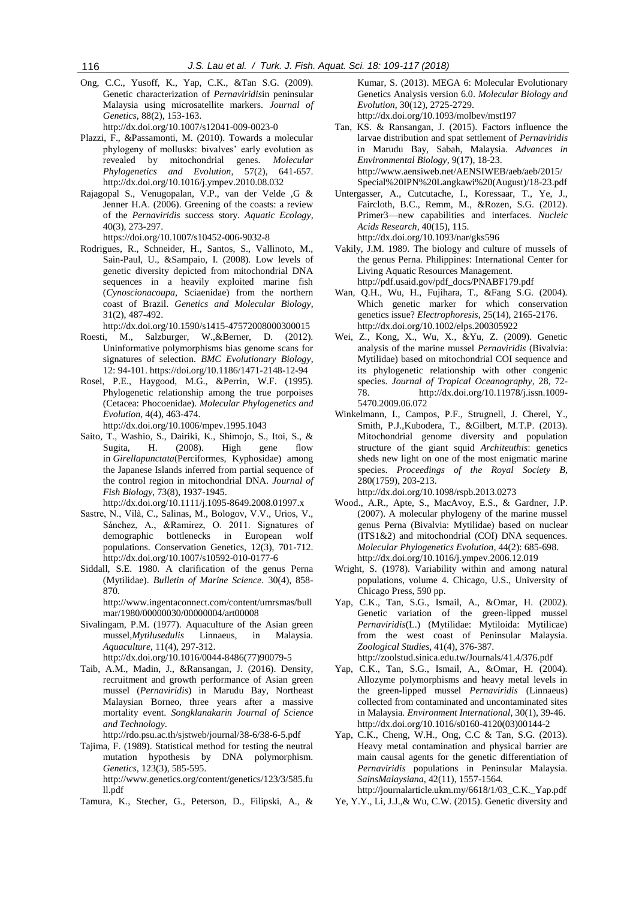Ong, C.C., Yusoff, K., Yap, C.K., &Tan S.G. (2009). Genetic characterization of *Pernaviridis*in peninsular Malaysia using microsatellite markers. *Journal of Genetics*, 88(2), 153-163.

[http://dx.doi.org/10.1007/s12041-009-0023-0](http://doi.org/10.1007/s12041-009-0023-0)

- Plazzi, F., &Passamonti, M. (2010). Towards a molecular phylogeny of mollusks: bivalves' early evolution as revealed by mitochondrial genes. *Molecular Phylogenetics and Evolution*, 57(2), 641-65[7.](http://doi.org/10.1016/j.ympev.2010.08.032) [http://dx.doi.org/10.1016/j.ympev.2010.08.032](http://doi.org/10.1016/j.ympev.2010.08.032)
- Rajagopal S., Venugopalan, V.P., van der Velde ,G & Jenner H.A. (2006). Greening of the coasts: a review of the *Pernaviridis* success story. *Aquatic Ecology*, 40(3), 273-297.

<https://doi.org/10.1007/s10452-006-9032-8>

Rodrigues, R., Schneider, H., Santos, S., Vallinoto, M., Sain-Paul, U., &Sampaio, I. (2008). Low levels of genetic diversity depicted from mitochondrial DNA sequences in a heavily exploited marine fish (*Cynoscionacoupa,* Sciaenidae) from the northern coast of Brazil. *Genetics and Molecular Biology*, 31(2), 487-492.

[http://dx.doi.org/10.1590/s1415-47572008000300015](http://doi.org/10.1590/s1415-47572008000300015)

- Roesti, M., Salzburger, W.,&Berner, D. (2012). Uninformative polymorphisms bias genome scans for signatures of selection. *BMC Evolutionary Biology*, 12: 94-101[. https://doi.org/10.1186/1471-2148-12-94](https://doi.org/10.1186/1471-2148-12-94)
- Rosel, P.E., Haygood, M.G., &Perrin, W.F. (1995). Phylogenetic relationship among the true porpoises (Cetacea: Phocoenidae). *Molecular Phylogenetics and Evolution*, 4(4), 463-474.

[http://dx.doi.org/10.1006/mpev.1995.1043](http://doi.org/10.1006/mpev.1995.1043)

Saito, T., Washio, S., Dairiki, K., Shimojo, S., Itoi, S., & Sugita, H. (2008). High gene flow in *Girellapunctata*(Perciformes, Kyphosidae) among the Japanese Islands inferred from partial sequence of the control region in mitochondrial DNA. *Journal of Fish Biology*, 73(8), 1937-1945. [http://dx.doi.org/10.1111/j.1095-8649.2008.01997.x](http://doi.org/10.1111/j.1095-8649.2008.01997.x)

Sastre, N., Vilà, C., Salinas, M., Bologov, V.V., Urios, V.,

- Sánchez, A., &Ramirez, O. 2011. Signatures of demographic bottlenecks in European wolf populations. Conservation Genetics, 12(3), 701-712. [http://dx.doi.org/10.1007/s10592-010-0177-6](http://doi.org/10.1007/s10592-010-0177-6)
- Siddall, S.E. 1980. A clarification of the genus Perna (Mytilidae). *Bulletin of Marine Science*. 30(4), 858- 870. [http://www.ingentaconnect.com/content/umrsmas/bull](http://www.ingentaconnect.com/content/umrsmas/bullmar/1980/00000030/00000004/art00008)

[mar/1980/00000030/00000004/art00008](http://www.ingentaconnect.com/content/umrsmas/bullmar/1980/00000030/00000004/art00008)

- Sivalingam, P.M. (1977). Aquaculture of the Asian green mussel,*Mytilusedulis* Linnaeus, in Malaysia. *Aquaculture*, 11(4), 297-312. [http://dx.doi.org/10.1016/0044-8486\(77\)90079-5](http://doi.org/10.1016/0044-8486(77)90079-5)
- Taib, A.M., Madin, J., &Ransangan, J. (2016). Density, recruitment and growth performance of Asian green mussel (*Pernaviridis*) in Marudu Bay, Northeast Malaysian Borneo, three years after a massive mortality event. *Songklanakarin Journal of Science and Technology*.

<http://rdo.psu.ac.th/sjstweb/journal/38-6/38-6-5.pdf>

- Tajima, F. (1989). Statistical method for testing the neutral mutation hypothesis by DNA polymorphism. *Genetics*, 123(3), 585-595. [http://www.genetics.org/content/genetics/123/3/585.fu](http://www.genetics.org/content/genetics/123/3/585.full.pdf) [ll.pdf](http://www.genetics.org/content/genetics/123/3/585.full.pdf)
- Tamura, K., Stecher, G., Peterson, D., Filipski, A., &

Kumar, S. (2013). MEGA 6: Molecular Evolutionary Genetics Analysis version 6.0. *Molecular Biology and Evolution*, 30(12), 2725-2729. [http://dx.doi.org/10.1093/molbev/mst197](http://doi.org/10.1093/molbev/mst197)

- Tan, KS. & Ransangan, J. (2015). Factors influence the larvae distribution and spat settlement of *Pernaviridis* in Marudu Bay, Sabah, Malaysia. *Advances in Environmental Biology*, 9(17), 18-23. [http://www.aensiweb.net/AENSIWEB/aeb/aeb/2015/](http://www.aensiweb.net/AENSIWEB/aeb/aeb/2015/Special%20IPN%20Langkawi%20(August)/18-23.pdf) [Special%20IPN%20Langkawi%20\(August\)/18-23.pdf](http://www.aensiweb.net/AENSIWEB/aeb/aeb/2015/Special%20IPN%20Langkawi%20(August)/18-23.pdf)
- Untergasser, A., Cutcutache, I., Koressaar, T., Ye, J., Faircloth, B.C., Remm, M., &Rozen, S.G. (2012). Primer3––new capabilities and interfaces. *Nucleic Acids Research*, 40(15), 115. [http://dx.doi.org/10.1093/nar/gks596](http://doi.org/10.1093/nar/gks596)
- Vakily, J.M. 1989. The biology and culture of mussels of the genus Perna. Philippines: International Center for Living Aquatic Resources Management. [http://pdf.usaid.gov/pdf\\_docs/PNABF179.pdf](http://pdf.usaid.gov/pdf_docs/PNABF179.pdf)
- Wan, Q.H., Wu, H., Fujihara, T., &Fang S.G. (2004). Which genetic marker for which conservation genetics issue? *Electrophoresis*, 25(14), 2165-2176. [http://dx.doi.org/10.1002/elps.200305922](http://doi.org/10.1002/elps.200305922)
- Wei, Z., Kong, X., Wu, X., &Yu, Z. (2009). Genetic analysis of the marine mussel *Pernaviridis* (Bivalvia: Mytilidae) based on mitochondrial COI sequence and its phylogenetic relationship with other congenic species. *Journal of Tropical Oceanography*, 28, 72- 78. [http://dx.doi.org/10.11978/j.issn.1009-](http://doi.org/10.11978/j.issn.1009-5470.2009.06.072) [5470.2009.06.072](http://doi.org/10.11978/j.issn.1009-5470.2009.06.072)
- Winkelmann, I., Campos, P.F., Strugnell, J. Cherel, Y., Smith, P.J.,Kubodera, T., &Gilbert, M.T.P. (2013). Mitochondrial genome diversity and population structure of the giant squid *Architeuthis*: genetics sheds new light on one of the most enigmatic marine species. *Proceedings of the Royal Society B*, 280(1759), 203-213.

[http://dx.doi.org/10.1098/rspb.2013.0273](http://doi.org/10.1098/rspb.2013.0273)

- Wood., A.R., Apte, S., MacAvoy, E.S., & Gardner, J.P. (2007). A molecular phylogeny of the marine mussel genus Perna (Bivalvia: Mytilidae) based on nuclear (ITS1&2) and mitochondrial (COI) DNA sequences. *Molecular Phylogenetics Evolution*, 44(2): 685-698. [http://dx.doi.org/10.1016/j.ympev.2006.12.019](http://doi.org/10.1016/j.ympev.2006.12.019)
- Wright, S. (1978). Variability within and among natural populations, volume 4. Chicago, U.S., University of Chicago Press, 590 pp.
- Yap, C.K., Tan, S.G., Ismail, A., &Omar, H. (2002). Genetic variation of the green-lipped mussel *Pernaviridis*(L.) (Mytilidae: Mytiloida: Mytilicae) from the west coast of Peninsular Malaysia. *Zoological Studies*, 41(4), 376-387. <http://zoolstud.sinica.edu.tw/Journals/41.4/376.pdf>
- Yap, C.K., Tan, S.G., Ismail, A., &Omar, H. (2004). Allozyme polymorphisms and heavy metal levels in the green-lipped mussel *Pernaviridis* (Linnaeus) collected from contaminated and uncontaminated sites in Malaysia. *Environment International*, 30(1), 39-46. [http://dx.doi.org/10.1016/s0160-4120\(03\)00144-2](http://doi.org/10.1016/s0160-4120(03)00144-2)
- Yap, C.K., Cheng, W.H., Ong, C.C & Tan, S.G. (2013). Heavy metal contamination and physical barrier are main causal agents for the genetic differentiation of *Pernaviridis* populations in Peninsular Malaysia. *SainsMalaysiana*, 42(11), 1557-1564. [http://journalarticle.ukm.my/6618/1/03\\_C.K.\\_Yap.pdf](http://journalarticle.ukm.my/6618/1/03_C.K._Yap.pdf)
- Ye, Y.Y., Li, J.J.,& Wu, C.W. (2015). Genetic diversity and